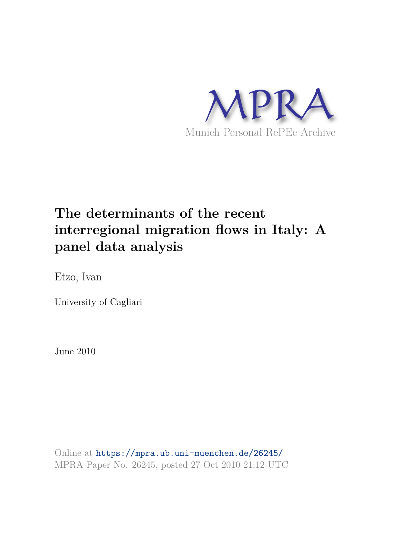

# **The determinants of the recent interregional migration flows in Italy: A panel data analysis**

Etzo, Ivan

University of Cagliari

June 2010

Online at https://mpra.ub.uni-muenchen.de/26245/ MPRA Paper No. 26245, posted 27 Oct 2010 21:12 UTC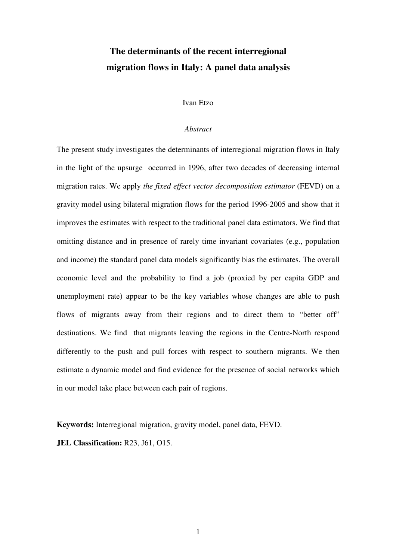## **The determinants of the recent interregional migration flows in Italy: A panel data analysis**

#### Ivan Etzo

#### *Abstract*

The present study investigates the determinants of interregional migration flows in Italy in the light of the upsurge occurred in 1996, after two decades of decreasing internal migration rates. We apply *the fixed effect vector decomposition estimator* (FEVD) on a gravity model using bilateral migration flows for the period 1996-2005 and show that it improves the estimates with respect to the traditional panel data estimators. We find that omitting distance and in presence of rarely time invariant covariates (e.g., population and income) the standard panel data models significantly bias the estimates. The overall economic level and the probability to find a job (proxied by per capita GDP and unemployment rate) appear to be the key variables whose changes are able to push flows of migrants away from their regions and to direct them to "better off" destinations. We find that migrants leaving the regions in the Centre-North respond differently to the push and pull forces with respect to southern migrants. We then estimate a dynamic model and find evidence for the presence of social networks which in our model take place between each pair of regions.

**Keywords:** Interregional migration, gravity model, panel data, FEVD.

**JEL Classification:** R23, J61, O15.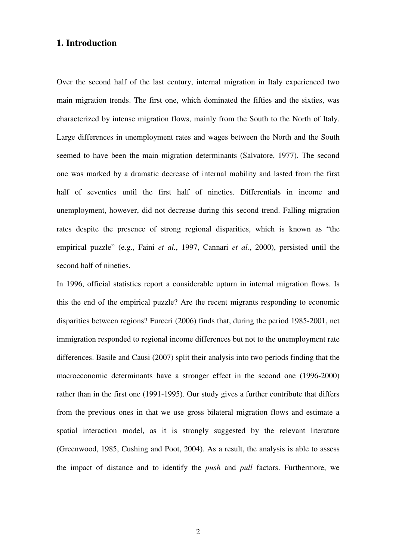## **1. Introduction**

Over the second half of the last century, internal migration in Italy experienced two main migration trends. The first one, which dominated the fifties and the sixties, was characterized by intense migration flows, mainly from the South to the North of Italy. Large differences in unemployment rates and wages between the North and the South seemed to have been the main migration determinants (Salvatore, 1977). The second one was marked by a dramatic decrease of internal mobility and lasted from the first half of seventies until the first half of nineties. Differentials in income and unemployment, however, did not decrease during this second trend. Falling migration rates despite the presence of strong regional disparities, which is known as "the empirical puzzle" (e.g., Faini *et al.*, 1997, Cannari *et al.*, 2000), persisted until the second half of nineties.

In 1996, official statistics report a considerable upturn in internal migration flows. Is this the end of the empirical puzzle? Are the recent migrants responding to economic disparities between regions? Furceri (2006) finds that, during the period 1985-2001, net immigration responded to regional income differences but not to the unemployment rate differences. Basile and Causi (2007) split their analysis into two periods finding that the macroeconomic determinants have a stronger effect in the second one (1996-2000) rather than in the first one (1991-1995). Our study gives a further contribute that differs from the previous ones in that we use gross bilateral migration flows and estimate a spatial interaction model, as it is strongly suggested by the relevant literature (Greenwood, 1985, Cushing and Poot, 2004). As a result, the analysis is able to assess the impact of distance and to identify the *push* and *pull* factors. Furthermore, we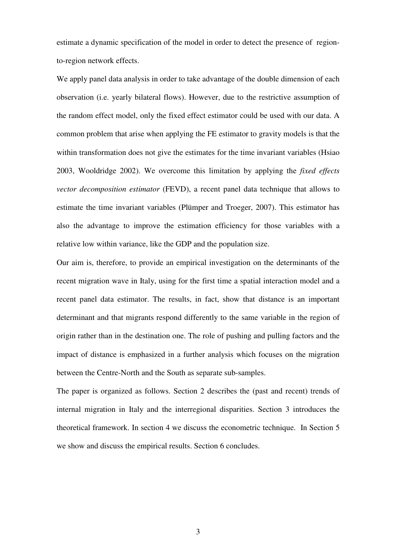estimate a dynamic specification of the model in order to detect the presence of regionto-region network effects.

We apply panel data analysis in order to take advantage of the double dimension of each observation (i.e. yearly bilateral flows). However, due to the restrictive assumption of the random effect model, only the fixed effect estimator could be used with our data. A common problem that arise when applying the FE estimator to gravity models is that the within transformation does not give the estimates for the time invariant variables (Hsiao 2003, Wooldridge 2002). We overcome this limitation by applying the *fixed effects vector decomposition estimator* (FEVD), a recent panel data technique that allows to estimate the time invariant variables (Plümper and Troeger, 2007). This estimator has also the advantage to improve the estimation efficiency for those variables with a relative low within variance, like the GDP and the population size.

Our aim is, therefore, to provide an empirical investigation on the determinants of the recent migration wave in Italy, using for the first time a spatial interaction model and a recent panel data estimator. The results, in fact, show that distance is an important determinant and that migrants respond differently to the same variable in the region of origin rather than in the destination one. The role of pushing and pulling factors and the impact of distance is emphasized in a further analysis which focuses on the migration between the Centre-North and the South as separate sub-samples.

The paper is organized as follows. Section 2 describes the (past and recent) trends of internal migration in Italy and the interregional disparities. Section 3 introduces the theoretical framework. In section 4 we discuss the econometric technique. In Section 5 we show and discuss the empirical results. Section 6 concludes.

3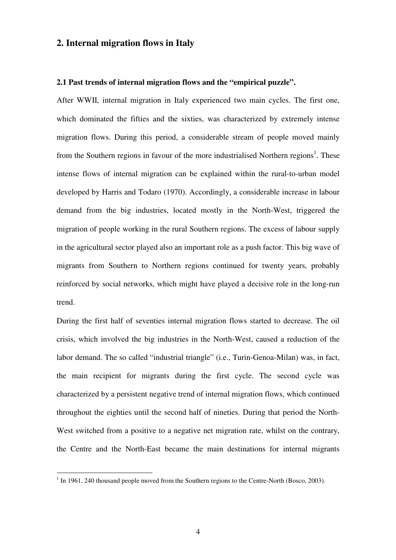## **2. Internal migration flows in Italy**

#### **2.1 Past trends of internal migration flows and the "empirical puzzle".**

After WWII, internal migration in Italy experienced two main cycles. The first one, which dominated the fifties and the sixties, was characterized by extremely intense migration flows. During this period, a considerable stream of people moved mainly from the Southern regions in favour of the more industrialised Northern regions<sup>1</sup>. These intense flows of internal migration can be explained within the rural-to-urban model developed by Harris and Todaro (1970). Accordingly, a considerable increase in labour demand from the big industries, located mostly in the North-West, triggered the migration of people working in the rural Southern regions. The excess of labour supply in the agricultural sector played also an important role as a push factor. This big wave of migrants from Southern to Northern regions continued for twenty years, probably reinforced by social networks, which might have played a decisive role in the long-run trend.

During the first half of seventies internal migration flows started to decrease. The oil crisis, which involved the big industries in the North-West, caused a reduction of the labor demand. The so called "industrial triangle" (i.e., Turin-Genoa-Milan) was, in fact, the main recipient for migrants during the first cycle. The second cycle was characterized by a persistent negative trend of internal migration flows, which continued throughout the eighties until the second half of nineties. During that period the North-West switched from a positive to a negative net migration rate, whilst on the contrary, the Centre and the North-East became the main destinations for internal migrants

<sup>&</sup>lt;sup>1</sup> In 1961, 240 thousand people moved from the Southern regions to the Centre-North (Bosco, 2003).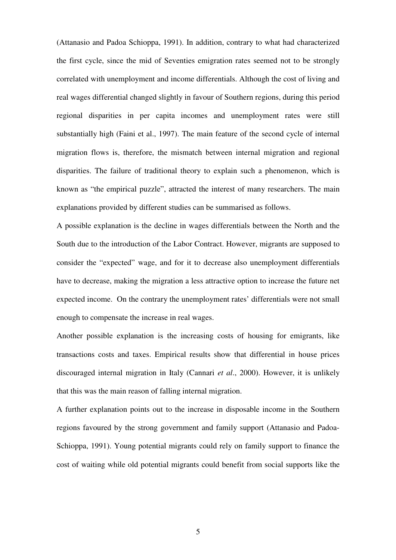(Attanasio and Padoa Schioppa, 1991). In addition, contrary to what had characterized the first cycle, since the mid of Seventies emigration rates seemed not to be strongly correlated with unemployment and income differentials. Although the cost of living and real wages differential changed slightly in favour of Southern regions, during this period regional disparities in per capita incomes and unemployment rates were still substantially high (Faini et al., 1997). The main feature of the second cycle of internal migration flows is, therefore, the mismatch between internal migration and regional disparities. The failure of traditional theory to explain such a phenomenon, which is known as "the empirical puzzle", attracted the interest of many researchers. The main explanations provided by different studies can be summarised as follows.

A possible explanation is the decline in wages differentials between the North and the South due to the introduction of the Labor Contract. However, migrants are supposed to consider the "expected" wage, and for it to decrease also unemployment differentials have to decrease, making the migration a less attractive option to increase the future net expected income. On the contrary the unemployment rates' differentials were not small enough to compensate the increase in real wages.

Another possible explanation is the increasing costs of housing for emigrants, like transactions costs and taxes. Empirical results show that differential in house prices discouraged internal migration in Italy (Cannari *et al*., 2000). However, it is unlikely that this was the main reason of falling internal migration.

A further explanation points out to the increase in disposable income in the Southern regions favoured by the strong government and family support (Attanasio and Padoa-Schioppa, 1991). Young potential migrants could rely on family support to finance the cost of waiting while old potential migrants could benefit from social supports like the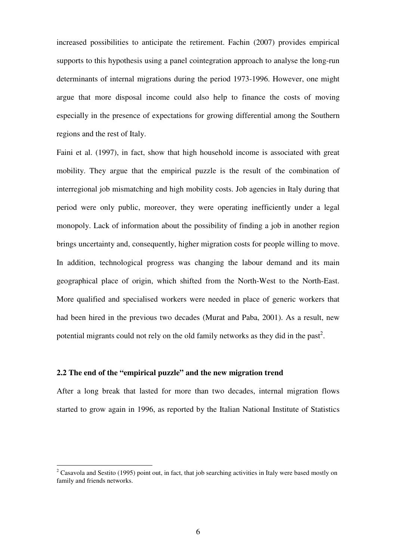increased possibilities to anticipate the retirement. Fachin (2007) provides empirical supports to this hypothesis using a panel cointegration approach to analyse the long-run determinants of internal migrations during the period 1973-1996. However, one might argue that more disposal income could also help to finance the costs of moving especially in the presence of expectations for growing differential among the Southern regions and the rest of Italy.

Faini et al. (1997), in fact, show that high household income is associated with great mobility. They argue that the empirical puzzle is the result of the combination of interregional job mismatching and high mobility costs. Job agencies in Italy during that period were only public, moreover, they were operating inefficiently under a legal monopoly. Lack of information about the possibility of finding a job in another region brings uncertainty and, consequently, higher migration costs for people willing to move. In addition, technological progress was changing the labour demand and its main geographical place of origin, which shifted from the North-West to the North-East. More qualified and specialised workers were needed in place of generic workers that had been hired in the previous two decades (Murat and Paba, 2001). As a result, new potential migrants could not rely on the old family networks as they did in the past<sup>2</sup>.

## **2.2 The end of the "empirical puzzle" and the new migration trend**

 $\overline{a}$ 

After a long break that lasted for more than two decades, internal migration flows started to grow again in 1996, as reported by the Italian National Institute of Statistics

<sup>&</sup>lt;sup>2</sup> Casavola and Sestito (1995) point out, in fact, that job searching activities in Italy were based mostly on family and friends networks.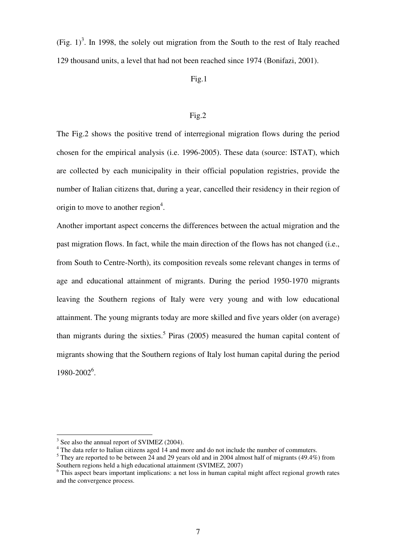(Fig.  $1$ )<sup>3</sup>. In 1998, the solely out migration from the South to the rest of Italy reached 129 thousand units, a level that had not been reached since 1974 (Bonifazi, 2001).

#### Fig.1

#### Fig.2

The Fig.2 shows the positive trend of interregional migration flows during the period chosen for the empirical analysis (i.e. 1996-2005). These data (source: ISTAT), which are collected by each municipality in their official population registries, provide the number of Italian citizens that, during a year, cancelled their residency in their region of origin to move to another region $4$ .

Another important aspect concerns the differences between the actual migration and the past migration flows. In fact, while the main direction of the flows has not changed (i.e., from South to Centre-North), its composition reveals some relevant changes in terms of age and educational attainment of migrants. During the period 1950-1970 migrants leaving the Southern regions of Italy were very young and with low educational attainment. The young migrants today are more skilled and five years older (on average) than migrants during the sixties.<sup>5</sup> Piras (2005) measured the human capital content of migrants showing that the Southern regions of Italy lost human capital during the period 1980-2002<sup>6</sup>.

<sup>&</sup>lt;sup>3</sup> See also the annual report of SVIMEZ (2004).

<sup>&</sup>lt;sup>4</sup> The data refer to Italian citizens aged 14 and more and do not include the number of commuters.

 $<sup>5</sup>$  They are reported to be between 24 and 29 years old and in 2004 almost half of migrants (49.4%) from</sup> Southern regions held a high educational attainment (SVIMEZ, 2007)

<sup>&</sup>lt;sup>6</sup> This aspect bears important implications: a net loss in human capital might affect regional growth rates and the convergence process.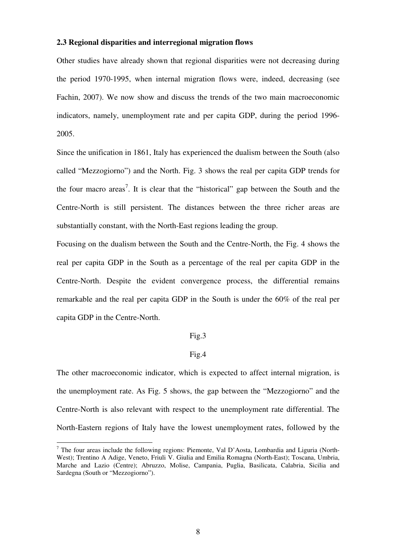#### **2.3 Regional disparities and interregional migration flows**

Other studies have already shown that regional disparities were not decreasing during the period 1970-1995, when internal migration flows were, indeed, decreasing (see Fachin, 2007). We now show and discuss the trends of the two main macroeconomic indicators, namely, unemployment rate and per capita GDP, during the period 1996- 2005.

Since the unification in 1861, Italy has experienced the dualism between the South (also called "Mezzogiorno") and the North. Fig. 3 shows the real per capita GDP trends for the four macro areas<sup>7</sup>. It is clear that the "historical" gap between the South and the Centre-North is still persistent. The distances between the three richer areas are substantially constant, with the North-East regions leading the group.

Focusing on the dualism between the South and the Centre-North, the Fig. 4 shows the real per capita GDP in the South as a percentage of the real per capita GDP in the Centre-North. Despite the evident convergence process, the differential remains remarkable and the real per capita GDP in the South is under the 60% of the real per capita GDP in the Centre-North.

#### Fig.3

## Fig.4

The other macroeconomic indicator, which is expected to affect internal migration, is the unemployment rate. As Fig. 5 shows, the gap between the "Mezzogiorno" and the Centre-North is also relevant with respect to the unemployment rate differential. The North-Eastern regions of Italy have the lowest unemployment rates, followed by the

<sup>&</sup>lt;sup>7</sup> The four areas include the following regions: Piemonte, Val D'Aosta, Lombardia and Liguria (North-West); Trentino A Adige, Veneto, Friuli V. Giulia and Emilia Romagna (North-East); Toscana, Umbria, Marche and Lazio (Centre); Abruzzo, Molise, Campania, Puglia, Basilicata, Calabria, Sicilia and Sardegna (South or "Mezzogiorno").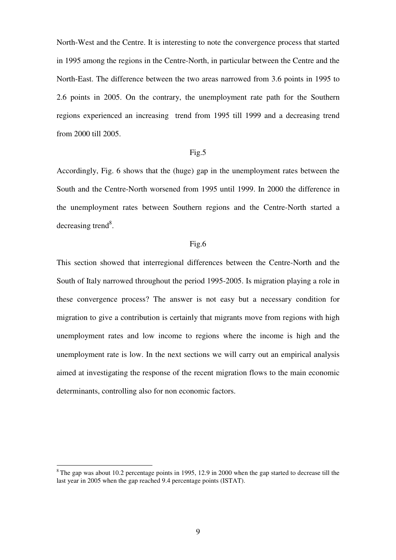North-West and the Centre. It is interesting to note the convergence process that started in 1995 among the regions in the Centre-North, in particular between the Centre and the North-East. The difference between the two areas narrowed from 3.6 points in 1995 to 2.6 points in 2005. On the contrary, the unemployment rate path for the Southern regions experienced an increasing trend from 1995 till 1999 and a decreasing trend from 2000 till 2005.

## Fig.5

Accordingly, Fig. 6 shows that the (huge) gap in the unemployment rates between the South and the Centre-North worsened from 1995 until 1999. In 2000 the difference in the unemployment rates between Southern regions and the Centre-North started a decreasing trend<sup>8</sup>.

#### Fig.6

This section showed that interregional differences between the Centre-North and the South of Italy narrowed throughout the period 1995-2005. Is migration playing a role in these convergence process? The answer is not easy but a necessary condition for migration to give a contribution is certainly that migrants move from regions with high unemployment rates and low income to regions where the income is high and the unemployment rate is low. In the next sections we will carry out an empirical analysis aimed at investigating the response of the recent migration flows to the main economic determinants, controlling also for non economic factors.

 $8$ The gap was about 10.2 percentage points in 1995, 12.9 in 2000 when the gap started to decrease till the last year in 2005 when the gap reached 9.4 percentage points (ISTAT).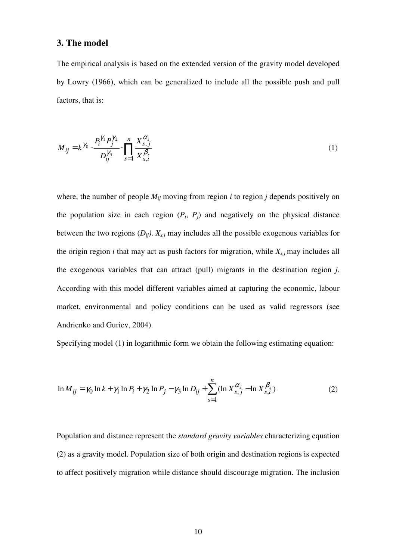## **3. The model**

The empirical analysis is based on the extended version of the gravity model developed by Lowry (1966), which can be generalized to include all the possible push and pull factors, that is:

$$
M_{ij} = k^{\gamma_0} \cdot \frac{P_i^{\gamma_1} P_j^{\gamma_2}}{D_{ij}^{\gamma_3}} \cdot \prod_{s=1}^n \frac{X_{s,j}^{\alpha_s}}{X_{s,i}^{\beta_s}}
$$
(1)

where, the number of people *Mij* moving from region *i* to region *j* depends positively on the population size in each region  $(P_i, P_j)$  and negatively on the physical distance between the two regions  $(D_{ij})$ .  $X_{s,i}$  may includes all the possible exogenous variables for the origin region  $i$  that may act as push factors for migration, while  $X_{s,i}$  may includes all the exogenous variables that can attract (pull) migrants in the destination region *j*. According with this model different variables aimed at capturing the economic, labour market, environmental and policy conditions can be used as valid regressors (see Andrienko and Guriev, 2004).

Specifying model (1) in logarithmic form we obtain the following estimating equation:

$$
\ln M_{ij} = \gamma_0 \ln k + \gamma_1 \ln P_i + \gamma_2 \ln P_j - \gamma_3 \ln D_{ij} + \sum_{s=1}^n (\ln X_{s,j}^{\alpha_s} - \ln X_{s,i}^{\beta_s})
$$
(2)

Population and distance represent the *standard gravity variables* characterizing equation (2) as a gravity model. Population size of both origin and destination regions is expected to affect positively migration while distance should discourage migration. The inclusion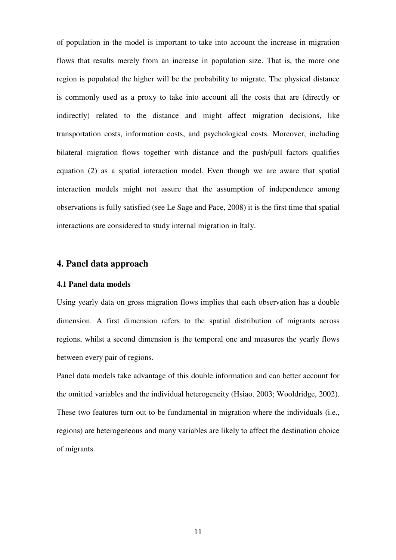of population in the model is important to take into account the increase in migration flows that results merely from an increase in population size. That is, the more one region is populated the higher will be the probability to migrate. The physical distance is commonly used as a proxy to take into account all the costs that are (directly or indirectly) related to the distance and might affect migration decisions, like transportation costs, information costs, and psychological costs. Moreover, including bilateral migration flows together with distance and the push/pull factors qualifies equation (2) as a spatial interaction model. Even though we are aware that spatial interaction models might not assure that the assumption of independence among observations is fully satisfied (see Le Sage and Pace, 2008) it is the first time that spatial interactions are considered to study internal migration in Italy.

## **4. Panel data approach**

#### **4.1 Panel data models**

Using yearly data on gross migration flows implies that each observation has a double dimension. A first dimension refers to the spatial distribution of migrants across regions, whilst a second dimension is the temporal one and measures the yearly flows between every pair of regions.

Panel data models take advantage of this double information and can better account for the omitted variables and the individual heterogeneity (Hsiao, 2003; Wooldridge, 2002). These two features turn out to be fundamental in migration where the individuals (i.e., regions) are heterogeneous and many variables are likely to affect the destination choice of migrants.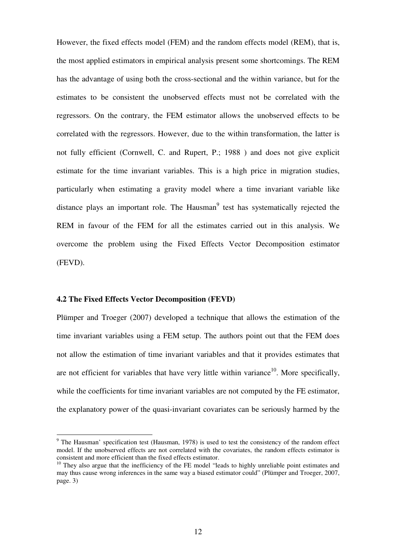However, the fixed effects model (FEM) and the random effects model (REM), that is, the most applied estimators in empirical analysis present some shortcomings. The REM has the advantage of using both the cross-sectional and the within variance, but for the estimates to be consistent the unobserved effects must not be correlated with the regressors. On the contrary, the FEM estimator allows the unobserved effects to be correlated with the regressors. However, due to the within transformation, the latter is not fully efficient (Cornwell, C. and Rupert, P.; 1988 ) and does not give explicit estimate for the time invariant variables. This is a high price in migration studies, particularly when estimating a gravity model where a time invariant variable like distance plays an important role. The Hausman<sup>9</sup> test has systematically rejected the REM in favour of the FEM for all the estimates carried out in this analysis. We overcome the problem using the Fixed Effects Vector Decomposition estimator (FEVD).

#### **4.2 The Fixed Effects Vector Decomposition (FEVD)**

 $\overline{a}$ 

Plümper and Troeger (2007) developed a technique that allows the estimation of the time invariant variables using a FEM setup. The authors point out that the FEM does not allow the estimation of time invariant variables and that it provides estimates that are not efficient for variables that have very little within variance<sup>10</sup>. More specifically, while the coefficients for time invariant variables are not computed by the FE estimator, the explanatory power of the quasi-invariant covariates can be seriously harmed by the

<sup>&</sup>lt;sup>9</sup> The Hausman' specification test (Hausman, 1978) is used to test the consistency of the random effect model. If the unobserved effects are not correlated with the covariates, the random effects estimator is consistent and more efficient than the fixed effects estimator.

<sup>&</sup>lt;sup>10</sup> They also argue that the inefficiency of the FE model "leads to highly unreliable point estimates and <sup>10</sup> may thus cause wrong inferences in the same way a biased estimator could" (Plümper and Troeger, 2007, page. 3)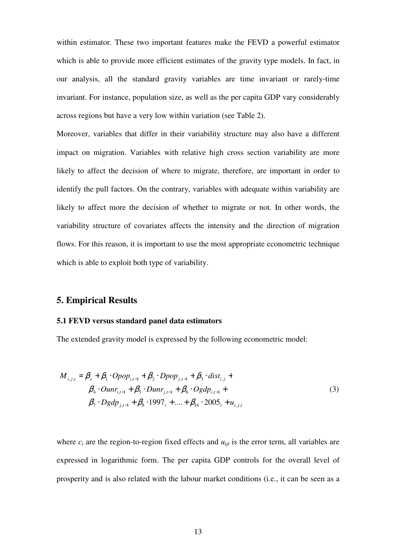within estimator. These two important features make the FEVD a powerful estimator which is able to provide more efficient estimates of the gravity type models. In fact, in our analysis, all the standard gravity variables are time invariant or rarely-time invariant. For instance, population size, as well as the per capita GDP vary considerably across regions but have a very low within variation (see Table 2).

Moreover, variables that differ in their variability structure may also have a different impact on migration. Variables with relative high cross section variability are more likely to affect the decision of where to migrate, therefore, are important in order to identify the pull factors. On the contrary, variables with adequate within variability are likely to affect more the decision of whether to migrate or not. In other words, the variability structure of covariates affects the intensity and the direction of migration flows. For this reason, it is important to use the most appropriate econometric technique which is able to exploit both type of variability.

## **5. Empirical Results**

#### **5.1 FEVD versus standard panel data estimators**

The extended gravity model is expressed by the following econometric model:

$$
M_{i,j,t} = \beta_o + \beta_1 \cdot Opop_{i,t-1} + \beta_2 \cdot Dpop_{j,t-1} + \beta_3 \cdot dist_{i,j} +
$$
  
\n
$$
\beta_4 \cdot Our_{i,t-1} + \beta_5 \cdot Dun_{j,t-1} + \beta_6 \cdot Ogdp_{i,t-1} +
$$
  
\n
$$
\beta_7 \cdot Dgdp_{j,t-1} + \beta_8 \cdot 1997_t + \dots + \beta_{16} \cdot 2005_t + u_{i,j,t}
$$
\n(3)

where  $c_i$  are the region-to-region fixed effects and  $u_{ijt}$  is the error term, all variables are expressed in logarithmic form. The per capita GDP controls for the overall level of prosperity and is also related with the labour market conditions (i.e., it can be seen as a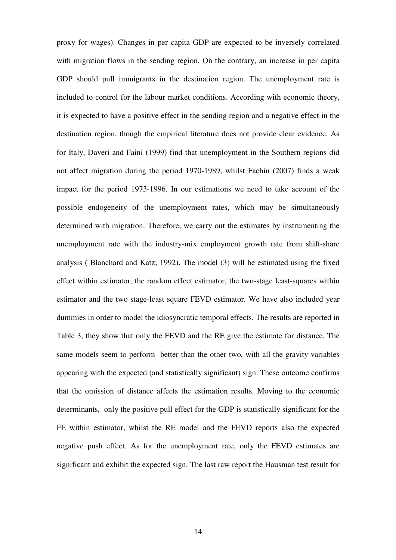proxy for wages). Changes in per capita GDP are expected to be inversely correlated with migration flows in the sending region. On the contrary, an increase in per capita GDP should pull immigrants in the destination region. The unemployment rate is included to control for the labour market conditions. According with economic theory, it is expected to have a positive effect in the sending region and a negative effect in the destination region, though the empirical literature does not provide clear evidence. As for Italy, Daveri and Faini (1999) find that unemployment in the Southern regions did not affect migration during the period 1970-1989, whilst Fachin (2007) finds a weak impact for the period 1973-1996. In our estimations we need to take account of the possible endogeneity of the unemployment rates, which may be simultaneously determined with migration. Therefore, we carry out the estimates by instrumenting the unemployment rate with the industry-mix employment growth rate from shift-share analysis ( Blanchard and Katz; 1992). The model (3) will be estimated using the fixed effect within estimator, the random effect estimator, the two-stage least-squares within estimator and the two stage-least square FEVD estimator. We have also included year dummies in order to model the idiosyncratic temporal effects. The results are reported in Table 3, they show that only the FEVD and the RE give the estimate for distance. The same models seem to perform better than the other two, with all the gravity variables appearing with the expected (and statistically significant) sign. These outcome confirms that the omission of distance affects the estimation results. Moving to the economic determinants, only the positive pull effect for the GDP is statistically significant for the FE within estimator, whilst the RE model and the FEVD reports also the expected negative push effect. As for the unemployment rate, only the FEVD estimates are significant and exhibit the expected sign. The last raw report the Hausman test result for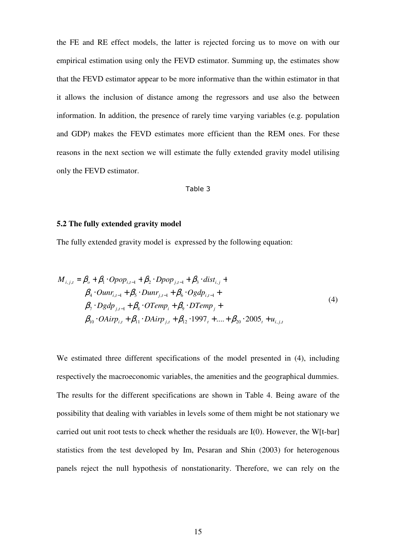the FE and RE effect models, the latter is rejected forcing us to move on with our empirical estimation using only the FEVD estimator. Summing up, the estimates show that the FEVD estimator appear to be more informative than the within estimator in that it allows the inclusion of distance among the regressors and use also the between information. In addition, the presence of rarely time varying variables (e.g. population and GDP) makes the FEVD estimates more efficient than the REM ones. For these reasons in the next section we will estimate the fully extended gravity model utilising only the FEVD estimator.

#### Table 3

## **5.2 The fully extended gravity model**

The fully extended gravity model is expressed by the following equation:

$$
M_{i,j,t} = \beta_o + \beta_1 \cdot Opop_{i,t-1} + \beta_2 \cdot Dpop_{j,t-1} + \beta_3 \cdot dist_{i,j} +
$$
  
\n
$$
\beta_4 \cdot Oun_{i,t-1} + \beta_5 \cdot Dun_{j,t-1} + \beta_6 \cdot Ogdp_{i,t-1} +
$$
  
\n
$$
\beta_7 \cdot Dgdp_{j,t-1} + \beta_8 \cdot OTemp_i + \beta_9 \cdot DTemp_j +
$$
  
\n
$$
\beta_{10} \cdot OAirp_{i,t} + \beta_{11} \cdot DAirp_{j,t} + \beta_{12} \cdot 1997_t + .... + \beta_{20} \cdot 2005_t + u_{i,j,t}
$$
\n(4)

We estimated three different specifications of the model presented in (4), including respectively the macroeconomic variables, the amenities and the geographical dummies. The results for the different specifications are shown in Table 4. Being aware of the possibility that dealing with variables in levels some of them might be not stationary we carried out unit root tests to check whether the residuals are I(0). However, the W[t-bar] statistics from the test developed by Im, Pesaran and Shin (2003) for heterogenous panels reject the null hypothesis of nonstationarity. Therefore, we can rely on the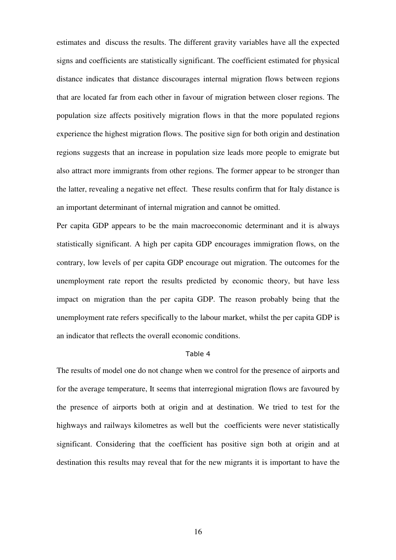estimates and discuss the results. The different gravity variables have all the expected signs and coefficients are statistically significant. The coefficient estimated for physical distance indicates that distance discourages internal migration flows between regions that are located far from each other in favour of migration between closer regions. The population size affects positively migration flows in that the more populated regions experience the highest migration flows. The positive sign for both origin and destination regions suggests that an increase in population size leads more people to emigrate but also attract more immigrants from other regions. The former appear to be stronger than the latter, revealing a negative net effect. These results confirm that for Italy distance is an important determinant of internal migration and cannot be omitted.

Per capita GDP appears to be the main macroeconomic determinant and it is always statistically significant. A high per capita GDP encourages immigration flows, on the contrary, low levels of per capita GDP encourage out migration. The outcomes for the unemployment rate report the results predicted by economic theory, but have less impact on migration than the per capita GDP. The reason probably being that the unemployment rate refers specifically to the labour market, whilst the per capita GDP is an indicator that reflects the overall economic conditions.

#### Table 4

The results of model one do not change when we control for the presence of airports and for the average temperature, It seems that interregional migration flows are favoured by the presence of airports both at origin and at destination. We tried to test for the highways and railways kilometres as well but the coefficients were never statistically significant. Considering that the coefficient has positive sign both at origin and at destination this results may reveal that for the new migrants it is important to have the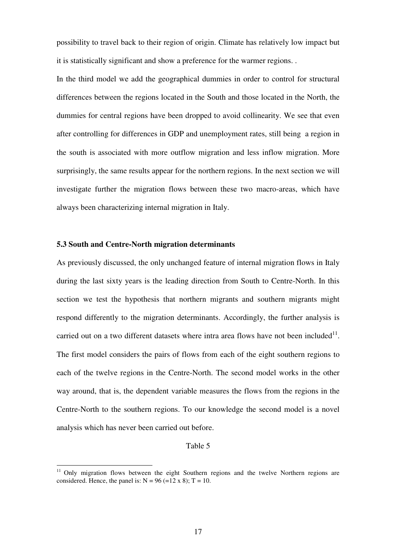possibility to travel back to their region of origin. Climate has relatively low impact but it is statistically significant and show a preference for the warmer regions. .

In the third model we add the geographical dummies in order to control for structural differences between the regions located in the South and those located in the North, the dummies for central regions have been dropped to avoid collinearity. We see that even after controlling for differences in GDP and unemployment rates, still being a region in the south is associated with more outflow migration and less inflow migration. More surprisingly, the same results appear for the northern regions. In the next section we will investigate further the migration flows between these two macro-areas, which have always been characterizing internal migration in Italy.

## **5.3 South and Centre-North migration determinants**

 $\overline{a}$ 

As previously discussed, the only unchanged feature of internal migration flows in Italy during the last sixty years is the leading direction from South to Centre-North. In this section we test the hypothesis that northern migrants and southern migrants might respond differently to the migration determinants. Accordingly, the further analysis is carried out on a two different datasets where intra area flows have not been included $11$ . The first model considers the pairs of flows from each of the eight southern regions to each of the twelve regions in the Centre-North. The second model works in the other way around, that is, the dependent variable measures the flows from the regions in the Centre-North to the southern regions. To our knowledge the second model is a novel analysis which has never been carried out before.

#### Table 5

<sup>&</sup>lt;sup>11</sup> Only migration flows between the eight Southern regions and the twelve Northern regions are considered. Hence, the panel is:  $N = 96 (=12 \times 8)$ ; T = 10.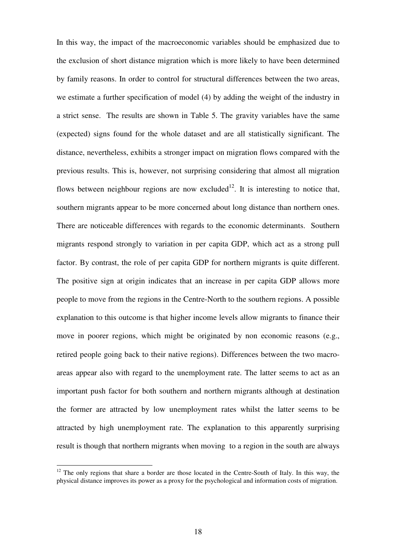In this way, the impact of the macroeconomic variables should be emphasized due to the exclusion of short distance migration which is more likely to have been determined by family reasons. In order to control for structural differences between the two areas, we estimate a further specification of model (4) by adding the weight of the industry in a strict sense. The results are shown in Table 5. The gravity variables have the same (expected) signs found for the whole dataset and are all statistically significant. The distance, nevertheless, exhibits a stronger impact on migration flows compared with the previous results. This is, however, not surprising considering that almost all migration flows between neighbour regions are now excluded<sup>12</sup>. It is interesting to notice that, southern migrants appear to be more concerned about long distance than northern ones. There are noticeable differences with regards to the economic determinants. Southern migrants respond strongly to variation in per capita GDP, which act as a strong pull factor. By contrast, the role of per capita GDP for northern migrants is quite different. The positive sign at origin indicates that an increase in per capita GDP allows more people to move from the regions in the Centre-North to the southern regions. A possible explanation to this outcome is that higher income levels allow migrants to finance their move in poorer regions, which might be originated by non economic reasons (e.g., retired people going back to their native regions). Differences between the two macroareas appear also with regard to the unemployment rate. The latter seems to act as an important push factor for both southern and northern migrants although at destination the former are attracted by low unemployment rates whilst the latter seems to be attracted by high unemployment rate. The explanation to this apparently surprising result is though that northern migrants when moving to a region in the south are always

 $12$  The only regions that share a border are those located in the Centre-South of Italy. In this way, the physical distance improves its power as a proxy for the psychological and information costs of migration.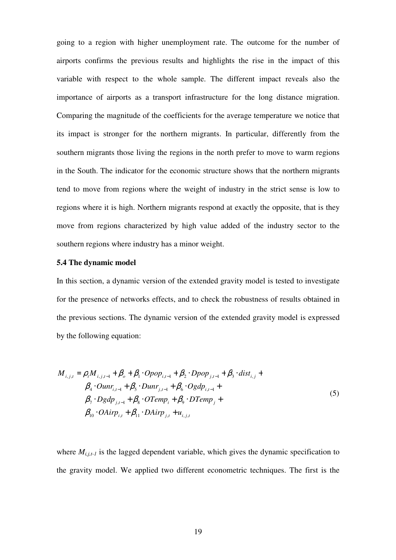going to a region with higher unemployment rate. The outcome for the number of airports confirms the previous results and highlights the rise in the impact of this variable with respect to the whole sample. The different impact reveals also the importance of airports as a transport infrastructure for the long distance migration. Comparing the magnitude of the coefficients for the average temperature we notice that its impact is stronger for the northern migrants. In particular, differently from the southern migrants those living the regions in the north prefer to move to warm regions in the South. The indicator for the economic structure shows that the northern migrants tend to move from regions where the weight of industry in the strict sense is low to regions where it is high. Northern migrants respond at exactly the opposite, that is they move from regions characterized by high value added of the industry sector to the southern regions where industry has a minor weight.

#### **5.4 The dynamic model**

In this section, a dynamic version of the extended gravity model is tested to investigate for the presence of networks effects, and to check the robustness of results obtained in the previous sections. The dynamic version of the extended gravity model is expressed by the following equation:

$$
M_{i,j,t} = \rho_t M_{i,j,t-1} + \beta_o + \beta_1 \cdot Opop_{i,t-1} + \beta_2 \cdot Dpop_{j,t-1} + \beta_3 \cdot dist_{i,j} + \n\beta_4 \cdot Ounr_{i,t-1} + \beta_5 \cdot Dunr_{j,t-1} + \beta_6 \cdot Ogdp_{i,t-1} + \n\beta_7 \cdot Dgdp_{j,t-1} + \beta_8 \cdot OTemp_i + \beta_9 \cdot DTemp_j + \n\beta_{10} \cdot OAirp_{i,t} + \beta_{11} \cdot DAirp_{j,t} + u_{i,j,t}
$$
\n(5)

where  $M_{i,j,t-1}$  is the lagged dependent variable, which gives the dynamic specification to the gravity model. We applied two different econometric techniques. The first is the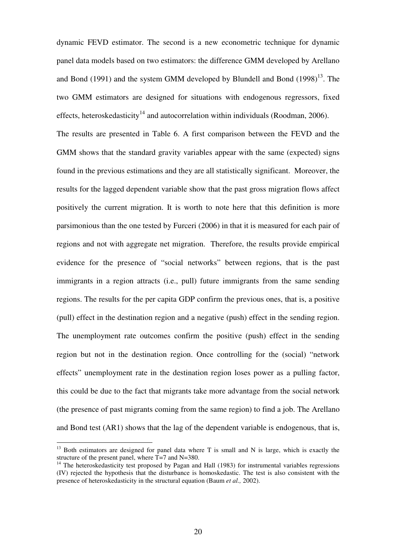dynamic FEVD estimator. The second is a new econometric technique for dynamic panel data models based on two estimators: the difference GMM developed by Arellano and Bond (1991) and the system GMM developed by Blundell and Bond  $(1998)^{13}$ . The two GMM estimators are designed for situations with endogenous regressors, fixed effects, heteroskedasticity<sup>14</sup> and autocorrelation within individuals (Roodman, 2006). The results are presented in Table 6. A first comparison between the FEVD and the GMM shows that the standard gravity variables appear with the same (expected) signs found in the previous estimations and they are all statistically significant. Moreover, the results for the lagged dependent variable show that the past gross migration flows affect positively the current migration. It is worth to note here that this definition is more parsimonious than the one tested by Furceri (2006) in that it is measured for each pair of regions and not with aggregate net migration. Therefore, the results provide empirical evidence for the presence of "social networks" between regions, that is the past immigrants in a region attracts (i.e., pull) future immigrants from the same sending regions. The results for the per capita GDP confirm the previous ones, that is, a positive (pull) effect in the destination region and a negative (push) effect in the sending region. The unemployment rate outcomes confirm the positive (push) effect in the sending region but not in the destination region. Once controlling for the (social) "network effects" unemployment rate in the destination region loses power as a pulling factor, this could be due to the fact that migrants take more advantage from the social network (the presence of past migrants coming from the same region) to find a job. The Arellano and Bond test (AR1) shows that the lag of the dependent variable is endogenous, that is,

 $13$  Both estimators are designed for panel data where T is small and N is large, which is exactly the structure of the present panel, where  $\hat{T}$ =7 and N=380.

<sup>&</sup>lt;sup>14</sup> The heteroskedasticity test proposed by Pagan and Hall (1983) for instrumental variables regressions (IV) rejected the hypothesis that the disturbance is homoskedastic. The test is also consistent with the presence of heteroskedasticity in the structural equation (Baum *et al.,* 2002).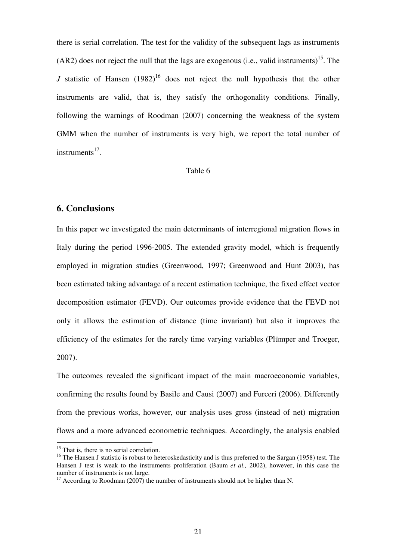there is serial correlation. The test for the validity of the subsequent lags as instruments  $(AR2)$  does not reject the null that the lags are exogenous (i.e., valid instruments)<sup>15</sup>. The *J* statistic of Hansen  $(1982)^{16}$  does not reject the null hypothesis that the other instruments are valid, that is, they satisfy the orthogonality conditions. Finally, following the warnings of Roodman (2007) concerning the weakness of the system GMM when the number of instruments is very high, we report the total number of instruments $^{17}$ .

## Table 6

## **6. Conclusions**

In this paper we investigated the main determinants of interregional migration flows in Italy during the period 1996-2005. The extended gravity model, which is frequently employed in migration studies (Greenwood, 1997; Greenwood and Hunt 2003), has been estimated taking advantage of a recent estimation technique, the fixed effect vector decomposition estimator (FEVD). Our outcomes provide evidence that the FEVD not only it allows the estimation of distance (time invariant) but also it improves the efficiency of the estimates for the rarely time varying variables (Plümper and Troeger, 2007).

The outcomes revealed the significant impact of the main macroeconomic variables, confirming the results found by Basile and Causi (2007) and Furceri (2006). Differently from the previous works, however, our analysis uses gross (instead of net) migration flows and a more advanced econometric techniques. Accordingly, the analysis enabled

<sup>&</sup>lt;sup>15</sup> That is, there is no serial correlation.

<sup>&</sup>lt;sup>16</sup> The Hansen J statistic is robust to heteroskedasticity and is thus preferred to the Sargan (1958) test. The Hansen J test is weak to the instruments proliferation (Baum *et al.,* 2002), however, in this case the number of instruments is not large.

<sup>&</sup>lt;sup>17</sup> According to Roodman (2007) the number of instruments should not be higher than N.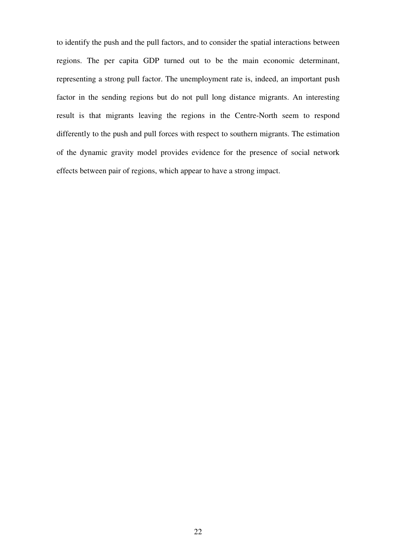to identify the push and the pull factors, and to consider the spatial interactions between regions. The per capita GDP turned out to be the main economic determinant, representing a strong pull factor. The unemployment rate is, indeed, an important push factor in the sending regions but do not pull long distance migrants. An interesting result is that migrants leaving the regions in the Centre-North seem to respond differently to the push and pull forces with respect to southern migrants. The estimation of the dynamic gravity model provides evidence for the presence of social network effects between pair of regions, which appear to have a strong impact.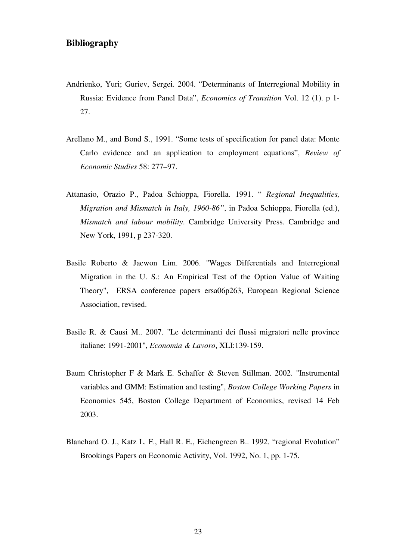## **Bibliography**

- Andrienko, Yuri; Guriev, Sergei. 2004. "Determinants of Interregional Mobility in Russia: Evidence from Panel Data", *Economics of Transition* Vol. 12 (1). p 1- 27.
- Arellano M., and Bond S., 1991. "Some tests of specification for panel data: Monte Carlo evidence and an application to employment equations", *Review of Economic Studies* 58: 277–97.
- Attanasio, Orazio P., Padoa Schioppa, Fiorella. 1991. " *Regional Inequalities, Migration and Mismatch in Italy, 1960-86"*, in Padoa Schioppa, Fiorella (ed.), *Mismatch and labour mobility*. Cambridge University Press. Cambridge and New York, 1991, p 237-320.
- Basile Roberto & Jaewon Lim. 2006. "Wages Differentials and Interregional Migration in the U. S.: An Empirical Test of the Option Value of Waiting Theory", ERSA conference papers ersa06p263, European Regional Science Association, revised.
- Basile R. & Causi M.. 2007. "Le determinanti dei flussi migratori nelle province italiane: 1991-2001", *Economia & Lavoro*, XLI:139-159.
- Baum Christopher F & Mark E. Schaffer & Steven Stillman. 2002. "Instrumental variables and GMM: Estimation and testing", *Boston College Working Papers* in Economics 545, Boston College Department of Economics, revised 14 Feb 2003.
- Blanchard O. J., Katz L. F., Hall R. E., Eichengreen B.. 1992. "regional Evolution" Brookings Papers on Economic Activity, Vol. 1992, No. 1, pp. 1-75.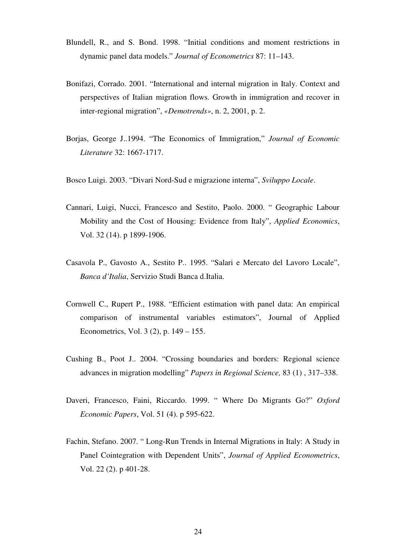- Blundell, R., and S. Bond. 1998. "Initial conditions and moment restrictions in dynamic panel data models." *Journal of Econometrics* 87: 11–143.
- Bonifazi, Corrado. 2001. "International and internal migration in Italy. Context and perspectives of Italian migration flows. Growth in immigration and recover in inter-regional migration", *«Demotrends»*, n. 2, 2001, p. 2.
- Borjas, George J..1994. "The Economics of Immigration," *Journal of Economic Literature* 32: 1667-1717.
- Bosco Luigi. 2003. "Divari Nord-Sud e migrazione interna", *Sviluppo Locale*.
- Cannari, Luigi, Nucci, Francesco and Sestito, Paolo. 2000. " Geographic Labour Mobility and the Cost of Housing: Evidence from Italy", *Applied Economics*, Vol. 32 (14). p 1899-1906.
- Casavola P., Gavosto A., Sestito P.. 1995. "Salari e Mercato del Lavoro Locale", *Banca d'Italia*, Servizio Studi Banca d.Italia.
- Cornwell C., Rupert P., 1988. "Efficient estimation with panel data: An empirical comparison of instrumental variables estimators", Journal of Applied Econometrics, Vol. 3 (2), p. 149 – 155.
- Cushing B., Poot J.. 2004. "Crossing boundaries and borders: Regional science advances in migration modelling" *Papers in Regional Science,* 83 (1) , 317–338.
- Daveri, Francesco, Faini, Riccardo. 1999. " Where Do Migrants Go?" *Oxford Economic Papers*, Vol. 51 (4). p 595-622.
- Fachin, Stefano. 2007. " Long-Run Trends in Internal Migrations in Italy: A Study in Panel Cointegration with Dependent Units", *Journal of Applied Econometrics*, Vol. 22 (2). p 401-28.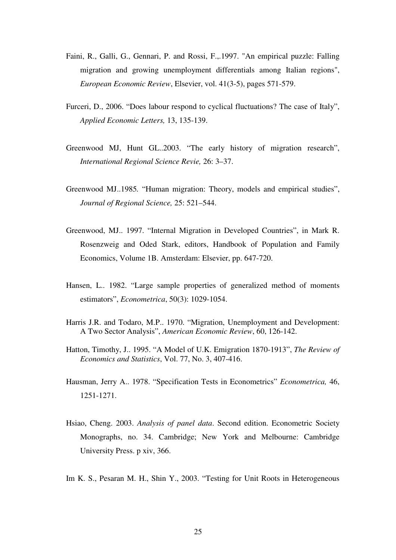- Faini, R., Galli, G., Gennari, P. and Rossi, F.,.1997. "An empirical puzzle: Falling migration and growing unemployment differentials among Italian regions", *European Economic Review*, Elsevier, vol. 41(3-5), pages 571-579.
- Furceri, D., 2006. "Does labour respond to cyclical fluctuations? The case of Italy", *Applied Economic Letters,* 13, 135-139.
- Greenwood MJ, Hunt GL..2003. "The early history of migration research", *International Regional Science Revie,* 26: 3–37.
- Greenwood MJ..1985*.* "Human migration: Theory, models and empirical studies", *Journal of Regional Science,* 25: 521–544.
- Greenwood, MJ.. 1997. "Internal Migration in Developed Countries", in Mark R. Rosenzweig and Oded Stark, editors, Handbook of Population and Family Economics, Volume 1B. Amsterdam: Elsevier, pp. 647-720.
- Hansen, L.. 1982. "Large sample properties of generalized method of moments estimators", *Econometrica*, 50(3): 1029-1054.
- Harris J.R. and Todaro, M.P.. 1970. "Migration, Unemployment and Development: A Two Sector Analysis", *American Economic Review*, 60, 126-142.
- Hatton, Timothy, J.. 1995. "A Model of U.K. Emigration 1870-1913", *The Review of Economics and Statistics*, Vol. 77, No. 3, 407-416.
- Hausman, Jerry A.. 1978. "Specification Tests in Econometrics" *Econometrica,* 46, 1251-1271.
- Hsiao, Cheng. 2003. *Analysis of panel data*. Second edition. Econometric Society Monographs, no. 34. Cambridge; New York and Melbourne: Cambridge University Press. p xiv, 366.
- Im K. S., Pesaran M. H., Shin Y., 2003. "Testing for Unit Roots in Heterogeneous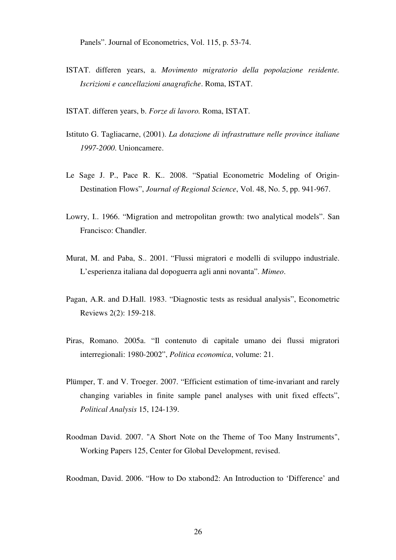Panels". Journal of Econometrics, Vol. 115, p. 53-74.

ISTAT. differen years, a. *Movimento migratorio della popolazione residente. Iscrizioni e cancellazioni anagrafiche*. Roma, ISTAT.

ISTAT. differen years, b. *Forze di lavoro.* Roma, ISTAT.

- Istituto G. Tagliacarne, (2001). *La dotazione di infrastrutture nelle province italiane 1997-2000*. Unioncamere.
- Le Sage J. P., Pace R. K.. 2008. "Spatial Econometric Modeling of Origin-Destination Flows", *Journal of Regional Science*, Vol. 48, No. 5, pp. 941-967.
- Lowry, I.. 1966. "Migration and metropolitan growth: two analytical models". San Francisco: Chandler.
- Murat, M. and Paba, S.. 2001. "Flussi migratori e modelli di sviluppo industriale. L'esperienza italiana dal dopoguerra agli anni novanta". *Mimeo*.
- Pagan, A.R. and D.Hall. 1983. "Diagnostic tests as residual analysis", Econometric Reviews 2(2): 159-218.
- Piras, Romano. 2005a. "Il contenuto di capitale umano dei flussi migratori interregionali: 1980-2002", *Politica economica*, volume: 21.
- Plümper, T. and V. Troeger. 2007. "Efficient estimation of time-invariant and rarely changing variables in finite sample panel analyses with unit fixed effects", *Political Analysis* 15, 124-139.
- Roodman David. 2007. "A Short Note on the Theme of Too Many Instruments", Working Papers 125, Center for Global Development, revised.

Roodman, David. 2006. "How to Do xtabond2: An Introduction to 'Difference' and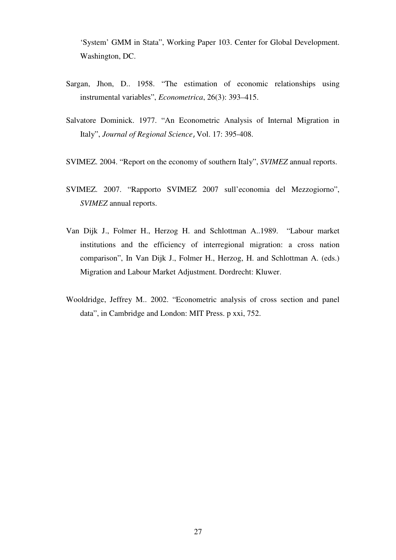'System' GMM in Stata", Working Paper 103. Center for Global Development. Washington, DC.

- Sargan, Jhon, D.. 1958. "The estimation of economic relationships using instrumental variables", *Econometrica*, 26(3): 393–415.
- Salvatore Dominick. 1977. "An Econometric Analysis of Internal Migration in Italy", *Journal of Regional Science*, Vol. 17: 395-408.
- SVIMEZ. 2004. "Report on the economy of southern Italy", *SVIMEZ* annual reports.
- SVIMEZ. 2007. "Rapporto SVIMEZ 2007 sull'economia del Mezzogiorno", *SVIMEZ* annual reports.
- Van Dijk J., Folmer H., Herzog H. and Schlottman A..1989. "Labour market institutions and the efficiency of interregional migration: a cross nation comparison", In Van Dijk J., Folmer H., Herzog, H. and Schlottman A. (eds.) Migration and Labour Market Adjustment. Dordrecht: Kluwer.
- Wooldridge, Jeffrey M.. 2002. "Econometric analysis of cross section and panel data", in Cambridge and London: MIT Press. p xxi, 752.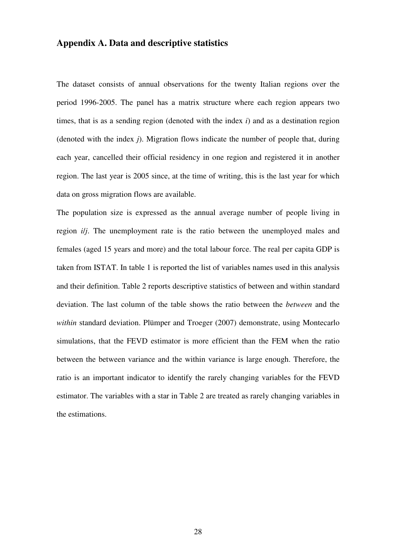## **Appendix A. Data and descriptive statistics**

The dataset consists of annual observations for the twenty Italian regions over the period 1996-2005. The panel has a matrix structure where each region appears two times, that is as a sending region (denoted with the index *i*) and as a destination region (denoted with the index *j*). Migration flows indicate the number of people that, during each year, cancelled their official residency in one region and registered it in another region. The last year is 2005 since, at the time of writing, this is the last year for which data on gross migration flows are available.

The population size is expressed as the annual average number of people living in region *i*/*j*. The unemployment rate is the ratio between the unemployed males and females (aged 15 years and more) and the total labour force. The real per capita GDP is taken from ISTAT. In table 1 is reported the list of variables names used in this analysis and their definition. Table 2 reports descriptive statistics of between and within standard deviation. The last column of the table shows the ratio between the *between* and the *within* standard deviation. Plümper and Troeger (2007) demonstrate, using Montecarlo simulations, that the FEVD estimator is more efficient than the FEM when the ratio between the between variance and the within variance is large enough. Therefore, the ratio is an important indicator to identify the rarely changing variables for the FEVD estimator. The variables with a star in Table 2 are treated as rarely changing variables in the estimations.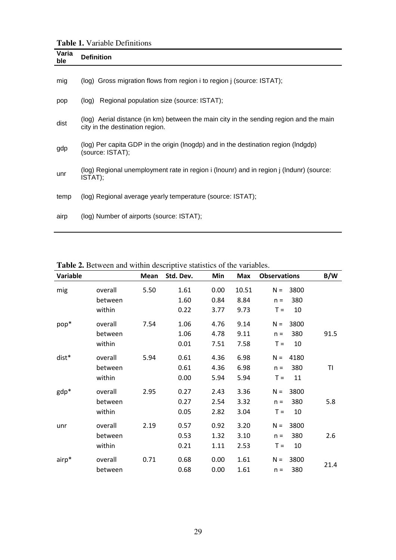**Table 1.** Variable Definitions

|              | $\mathbf{1}$ aviv $\mathbf{1}$ , and $\mathbf{1}$ , because the set of $\mathbf{1}$                                       |
|--------------|---------------------------------------------------------------------------------------------------------------------------|
| Varia<br>ble | <b>Definition</b>                                                                                                         |
| mig          | (log) Gross migration flows from region i to region j (source: ISTAT);                                                    |
| pop          | Regional population size (source: ISTAT);<br>(log)                                                                        |
| dist         | (log) Aerial distance (in km) between the main city in the sending region and the main<br>city in the destination region. |
| gdp          | (log) Per capita GDP in the origin (lnogdp) and in the destination region (lndgdp)<br>(source: ISTAT);                    |
| unr          | (log) Regional unemployment rate in region i (lnounr) and in region j (lndunr) (source:<br>ISTAT);                        |
| temp         | (log) Regional average yearly temperature (source: ISTAT);                                                                |
| airp         | (log) Number of airports (source: ISTAT);                                                                                 |

| Variable |                    | Mean | Std. Dev.    | Min          | Max           | <b>Observations</b> |                         | B/W  |
|----------|--------------------|------|--------------|--------------|---------------|---------------------|-------------------------|------|
| mig      | overall<br>between | 5.50 | 1.61<br>1.60 | 0.00<br>0.84 | 10.51<br>8.84 |                     | $N = 3800$<br>$n = 380$ |      |
|          | within             |      | 0.22         | 3.77         | 9.73          |                     | $T = 10$                |      |
| pop*     | overall            | 7.54 | 1.06         | 4.76         | 9.14          | $N =$               | 3800                    |      |
|          | between            |      | 1.06         | 4.78         | 9.11          | $n =$               | 380                     | 91.5 |
|          | within             |      | 0.01         | 7.51         | 7.58          |                     | $T = 10$                |      |
| dist*    | overall            | 5.94 | 0.61         | 4.36         | 6.98          |                     | $N = 4180$              |      |
|          | between            |      | 0.61         | 4.36         | 6.98          |                     | $n = 380$               | TI   |
|          | within             |      | 0.00         | 5.94         | 5.94          |                     | $T = 11$                |      |
| gdp*     | overall            | 2.95 | 0.27         | 2.43         | 3.36          |                     | $N = 3800$              |      |
|          | between            |      | 0.27         | 2.54         | 3.32          | $n =$               | 380                     | 5.8  |
|          | within             |      | 0.05         | 2.82         | 3.04          |                     | $T = 10$                |      |
| unr      | overall            | 2.19 | 0.57         | 0.92         | 3.20          |                     | $N = 3800$              |      |
|          | between            |      | 0.53         | 1.32         | 3.10          |                     | $n = 380$               | 2.6  |
|          | within             |      | 0.21         | 1.11         | 2.53          | $T =$               | 10                      |      |
| airp*    | overall            | 0.71 | 0.68         | 0.00         | 1.61          |                     | $N = 3800$              |      |
|          | between            |      | 0.68         | 0.00         | 1.61          |                     | $n = 380$               | 21.4 |

**Table 2.** Between and within descriptive statistics of the variables.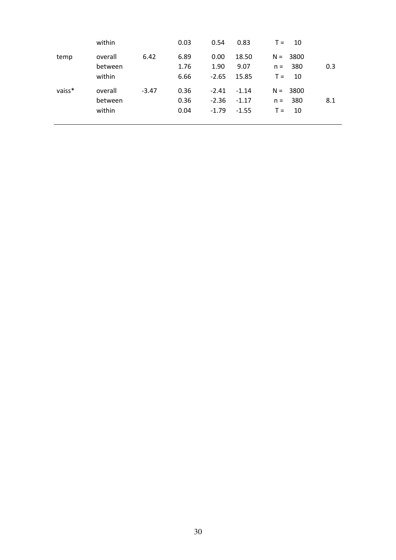|        | within                       |         | 0.03                 | 0.54                          | 0.83                          | 10<br>$T =$                               |     |
|--------|------------------------------|---------|----------------------|-------------------------------|-------------------------------|-------------------------------------------|-----|
| temp   | overall<br>between<br>within | 6.42    | 6.89<br>1.76<br>6.66 | 0.00<br>1.90<br>$-2.65$       | 18.50<br>9.07<br>15.85        | $N = 3800$<br>380<br>$n =$<br>10<br>$T =$ | 0.3 |
| vaiss* | overall<br>between<br>within | $-3.47$ | 0.36<br>0.36<br>0.04 | $-2.41$<br>$-2.36$<br>$-1.79$ | $-1.14$<br>$-1.17$<br>$-1.55$ | $N = 3800$<br>380<br>$n =$<br>10<br>$T =$ | 8.1 |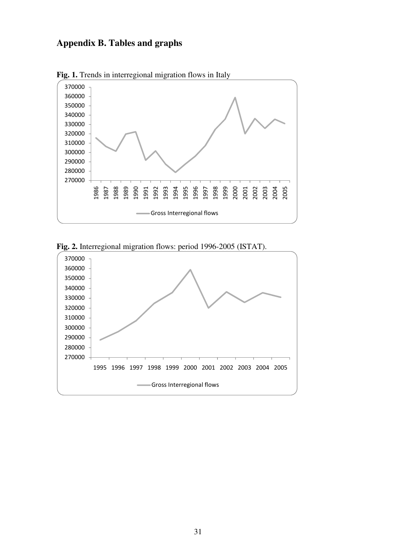## **Appendix B. Tables and graphs**



**Fig. 1.** Trends in interregional migration flows in Italy



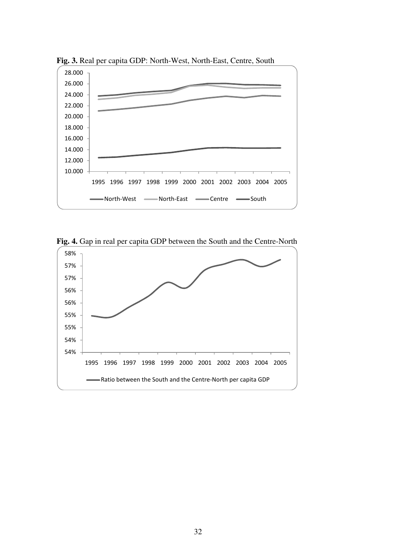

**Fig. 3.** Real per capita GDP: North-West, North-East, Centre, South

**Fig. 4.** Gap in real per capita GDP between the South and the Centre-North

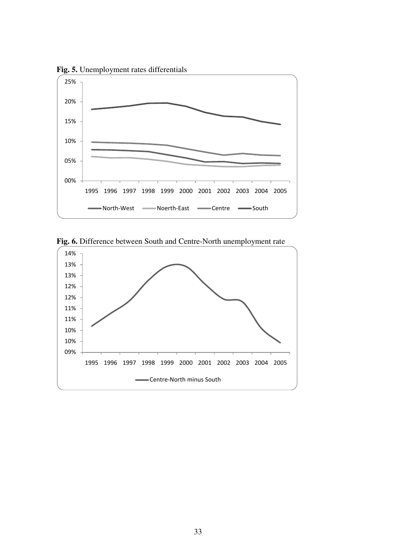

**Fig. 5.** Unemployment rates differentials



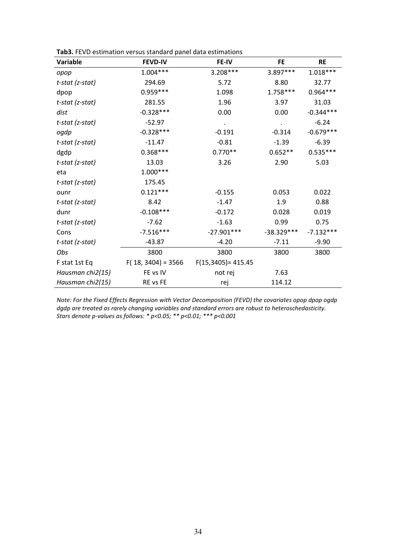| Variable           | <b>FEVD-IV</b>       | FE-IV                 | <b>FE</b>    | <b>RE</b>   |
|--------------------|----------------------|-----------------------|--------------|-------------|
| opop               | $1.004***$           | 3.208***              | 3.897***     | $1.018***$  |
| t-stat (z-stat)    | 294.69               | 5.72                  | 8.80         | 32.77       |
| dpop               | $0.959***$           | 1.098                 | 1.758***     | $0.964***$  |
| t-stat (z-stat)    | 281.55               | 1.96                  | 3.97         | 31.03       |
| dist               | $-0.328***$          | 0.00                  | 0.00         | $-0.344***$ |
| t-stat (z-stat)    | $-52.97$             | $\bullet$             |              | $-6.24$     |
| ogdp               | $-0.328***$          | $-0.191$              | $-0.314$     | $-0.679***$ |
| t-stat (z-stat)    | $-11.47$             | $-0.81$               | $-1.39$      | $-6.39$     |
| dgdp               | $0.368***$           | $0.770**$             | $0.652**$    | $0.535***$  |
| t-stat (z-stat)    | 13.03                | 3.26                  | 2.90         | 5.03        |
| eta                | $1.000***$           |                       |              |             |
| $t$ -stat (z-stat) | 175.45               |                       |              |             |
| ounr               | $0.121***$           | $-0.155$              | 0.053        | 0.022       |
| t-stat (z-stat)    | 8.42                 | $-1.47$               | 1.9          | 0.88        |
| dunr               | $-0.108***$          | $-0.172$              | 0.028        | 0.019       |
| t-stat (z-stat)    | $-7.62$              | $-1.63$               | 0.99         | 0.75        |
| Cons               | $-7.516***$          | $-27.901***$          | $-38.329***$ | $-7.132***$ |
| t-stat (z-stat)    | $-43.87$             | $-4.20$               | $-7.11$      | $-9.90$     |
| Obs                | 3800                 | 3800                  | 3800         | 3800        |
| F stat 1st Eq      | $F(18, 3404) = 3566$ | $F(15,3405) = 415.45$ |              |             |
| Hausman chi2(15)   | FE vs IV             | not rej               | 7.63         |             |
| Hausman chi2(15)   | RE vs FE             | rej                   | 114.12       |             |

*Note: For the Fixed Effects Regression with Vector Decomposition (FEVD) the covariates opop dpop ogdp dgdp are treated as rarely changing variables and standard errors are robust to heteroschedasticity. Stars denote p-values as follows: \* p<0.05; \*\* p<0.01; \*\*\* p<0.001*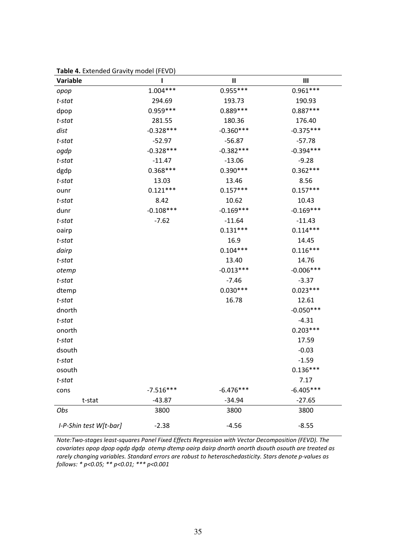| <b>Variable</b>        | ı           | $\mathbf{I}$ | $\mathbf{III}$ |
|------------------------|-------------|--------------|----------------|
| opop                   | $1.004***$  | $0.955***$   | $0.961***$     |
| t-stat                 | 294.69      | 193.73       | 190.93         |
| dpop                   | $0.959***$  | $0.889***$   | $0.887***$     |
| t-stat                 | 281.55      | 180.36       | 176.40         |
| dist                   | $-0.328***$ | $-0.360***$  | $-0.375***$    |
| $t$ -stat              | $-52.97$    | $-56.87$     | $-57.78$       |
| ogdp                   | $-0.328***$ | $-0.382***$  | $-0.394***$    |
| $t$ -stat              | $-11.47$    | $-13.06$     | $-9.28$        |
| dgdp                   | $0.368***$  | $0.390***$   | $0.362***$     |
| t-stat                 | 13.03       | 13.46        | 8.56           |
| ounr                   | $0.121***$  | $0.157***$   | $0.157***$     |
| $t$ -stat              | 8.42        | 10.62        | 10.43          |
| dunr                   | $-0.108***$ | $-0.169***$  | $-0.169***$    |
| $t$ -stat              | $-7.62$     | $-11.64$     | $-11.43$       |
| oairp                  |             | $0.131***$   | $0.114***$     |
| $t$ -stat              |             | 16.9         | 14.45          |
| dairp                  |             | $0.104***$   | $0.116***$     |
| t-stat                 |             | 13.40        | 14.76          |
| otemp                  |             | $-0.013***$  | $-0.006***$    |
| $t$ -stat              |             | $-7.46$      | $-3.37$        |
| dtemp                  |             | $0.030***$   | $0.023***$     |
| $t$ -stat              |             | 16.78        | 12.61          |
| dnorth                 |             |              | $-0.050***$    |
| $t$ -stat              |             |              | $-4.31$        |
| onorth                 |             |              | $0.203***$     |
| $t$ -stat              |             |              | 17.59          |
| dsouth                 |             |              | $-0.03$        |
| $t$ -stat              |             |              | $-1.59$        |
| osouth                 |             |              | $0.136***$     |
| t-stat                 |             |              | 7.17           |
| cons                   | $-7.516***$ | $-6.476***$  | $-6.405***$    |
| t-stat                 | $-43.87$    | $-34.94$     | $-27.65$       |
| Obs                    | 3800        | 3800         | 3800           |
| I-P-Shin test W[t-bar] | $-2.38$     | $-4.56$      | $-8.55$        |

**Table 4.** Extended Gravity model (FEVD)

*Note:Two-stages least-squares Panel Fixed Effects Regression with Vector Decomposition (FEVD). The covariates opop dpop ogdp dgdp otemp dtemp oairp dairp dnorth onorth dsouth osouth are treated as rarely changing variables. Standard errors are robust to heteroschedasticity. Stars denote p-values as follows: \* p<0.05; \*\* p<0.01; \*\*\* p<0.001*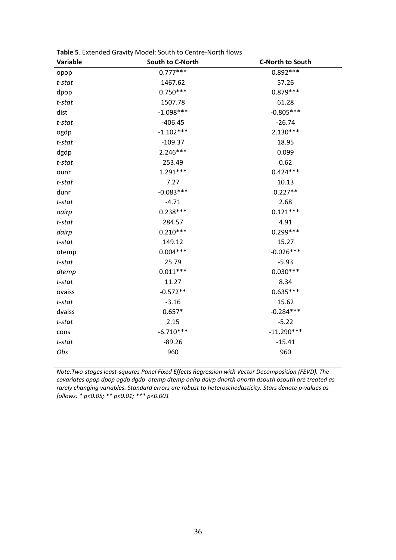| Variable  | South to C-North | <b>C-North to South</b> |
|-----------|------------------|-------------------------|
| opop      | $0.777***$       | $0.892***$              |
| $t$ -stat | 1467.62          | 57.26                   |
| dpop      | $0.750***$       | $0.879***$              |
| $t$ -stat | 1507.78          | 61.28                   |
| dist      | $-1.098***$      | $-0.805***$             |
| $t$ -stat | $-406.45$        | $-26.74$                |
| ogdp      | $-1.102***$      | $2.130***$              |
| $t$ -stat | $-109.37$        | 18.95                   |
| dgdp      | $2.246***$       | 0.099                   |
| $t$ -stat | 253.49           | 0.62                    |
| ounr      | $1.291***$       | $0.424***$              |
| t-stat    | 7.27             | 10.13                   |
| dunr      | $-0.083***$      | $0.227**$               |
| $t$ -stat | $-4.71$          | 2.68                    |
| oairp     | $0.238***$       | $0.121***$              |
| $t$ -stat | 284.57           | 4.91                    |
| dairp     | $0.210***$       | 0.299***                |
| $t$ -stat | 149.12           | 15.27                   |
| otemp     | $0.004***$       | $-0.026***$             |
| t-stat    | 25.79            | $-5.93$                 |
| dtemp     | $0.011***$       | $0.030***$              |
| $t$ -stat | 11.27            | 8.34                    |
| ovaiss    | $-0.572**$       | $0.635***$              |
| t-stat    | $-3.16$          | 15.62                   |
| dvaiss    | $0.657*$         | $-0.284***$             |
| $t$ -stat | 2.15             | $-5.22$                 |
| cons      | $-6.710***$      | $-11.290***$            |
| t-stat    | $-89.26$         | $-15.41$                |
| Obs       | 960              | 960                     |

**Table 5**. Extended Gravity Model: South to Centre-North flows

*Note:Two-stages least-squares Panel Fixed Effects Regression with Vector Decomposition (FEVD). The covariates opop dpop ogdp dgdp otemp dtemp oairp dairp dnorth onorth dsouth osouth are treated as rarely changing variables. Standard errors are robust to heteroschedasticity. Stars denote p-values as follows: \* p<0.05; \*\* p<0.01; \*\*\* p<0.001*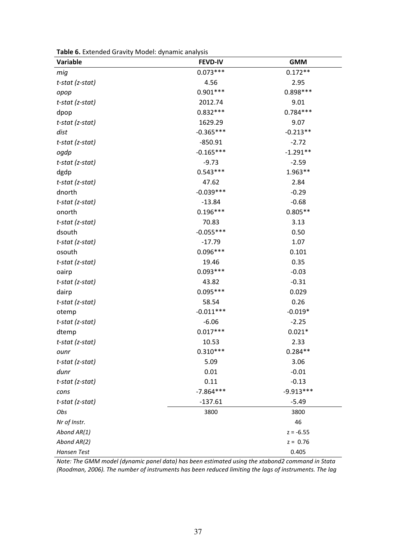| Table 6. Extended Gravity Model: dynamic analysis |  |
|---------------------------------------------------|--|
|---------------------------------------------------|--|

| Variable        | <b>FEVD-IV</b> | <b>GMM</b>  |
|-----------------|----------------|-------------|
| mig             | $0.073***$     | $0.172**$   |
| t-stat (z-stat) | 4.56           | 2.95        |
| opop            | $0.901***$     | $0.898***$  |
| t-stat (z-stat) | 2012.74        | 9.01        |
| dpop            | $0.832***$     | $0.784***$  |
| t-stat (z-stat) | 1629.29        | 9.07        |
| dist            | $-0.365***$    | $-0.213**$  |
| t-stat (z-stat) | $-850.91$      | $-2.72$     |
| ogdp            | $-0.165***$    | $-1.291**$  |
| t-stat (z-stat) | $-9.73$        | $-2.59$     |
| dgdp            | $0.543***$     | $1.963**$   |
| t-stat (z-stat) | 47.62          | 2.84        |
| dnorth          | $-0.039***$    | $-0.29$     |
| t-stat (z-stat) | $-13.84$       | $-0.68$     |
| onorth          | $0.196***$     | $0.805**$   |
| t-stat (z-stat) | 70.83          | 3.13        |
| dsouth          | $-0.055***$    | 0.50        |
| t-stat (z-stat) | $-17.79$       | 1.07        |
| osouth          | $0.096***$     | 0.101       |
| t-stat (z-stat) | 19.46          | 0.35        |
| oairp           | $0.093***$     | $-0.03$     |
| t-stat (z-stat) | 43.82          | $-0.31$     |
| dairp           | $0.095***$     | 0.029       |
| t-stat (z-stat) | 58.54          | 0.26        |
| otemp           | $-0.011***$    | $-0.019*$   |
| t-stat (z-stat) | $-6.06$        | $-2.25$     |
| dtemp           | $0.017***$     | $0.021*$    |
| t-stat (z-stat) | 10.53          | 2.33        |
| ounr            | $0.310***$     | $0.284**$   |
| t-stat (z-stat) | 5.09           | 3.06        |
| dunr            | 0.01           | $-0.01$     |
| t-stat (z-stat) | 0.11           | $-0.13$     |
| cons            | $-7.864***$    | $-9.913***$ |
| t-stat (z-stat) | $-137.61$      | $-5.49$     |
| Obs             | 3800           | 3800        |
| Nr of Instr.    |                | 46          |
| Abond AR(1)     |                | $z = -6.55$ |
| Abond AR(2)     |                | $z = 0.76$  |
| Hansen Test     |                | 0.405       |

*Note: The GMM model (dynamic panel data) has been estimated using the xtabond2 command in Stata (Roodman, 2006). The number of instruments has been reduced limiting the lags of instruments. The lag*